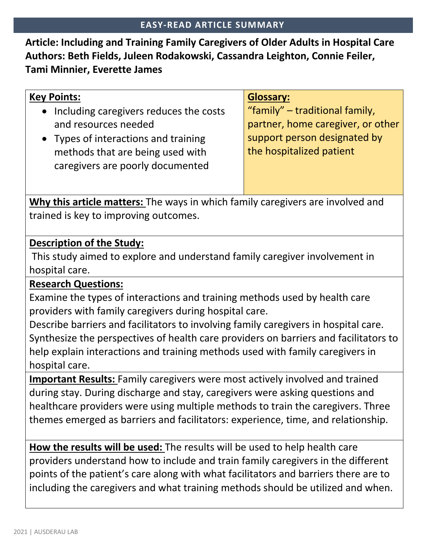**Article: Including and Training Family Caregivers of Older Adults in Hospital Care Authors: Beth Fields, Juleen Rodakowski, Cassandra Leighton, Connie Feiler, Tami Minnier, Everette James**

| <b>Glossary:</b>                  |
|-----------------------------------|
| "family" – traditional family,    |
| partner, home caregiver, or other |
| support person designated by      |
| the hospitalized patient          |
|                                   |
|                                   |
|                                   |

**Why this article matters:** The ways in which family caregivers are involved and trained is key to improving outcomes.

## **Description of the Study:**

This study aimed to explore and understand family caregiver involvement in hospital care.

## **Research Questions:**

Examine the types of interactions and training methods used by health care providers with family caregivers during hospital care.

Describe barriers and facilitators to involving family caregivers in hospital care. Synthesize the perspectives of health care providers on barriers and facilitators to help explain interactions and training methods used with family caregivers in hospital care.

**Important Results:** Family caregivers were most actively involved and trained during stay. During discharge and stay, caregivers were asking questions and healthcare providers were using multiple methods to train the caregivers. Three themes emerged as barriers and facilitators: experience, time, and relationship.

**How the results will be used:** The results will be used to help health care providers understand how to include and train family caregivers in the different points of the patient's care along with what facilitators and barriers there are to including the caregivers and what training methods should be utilized and when.